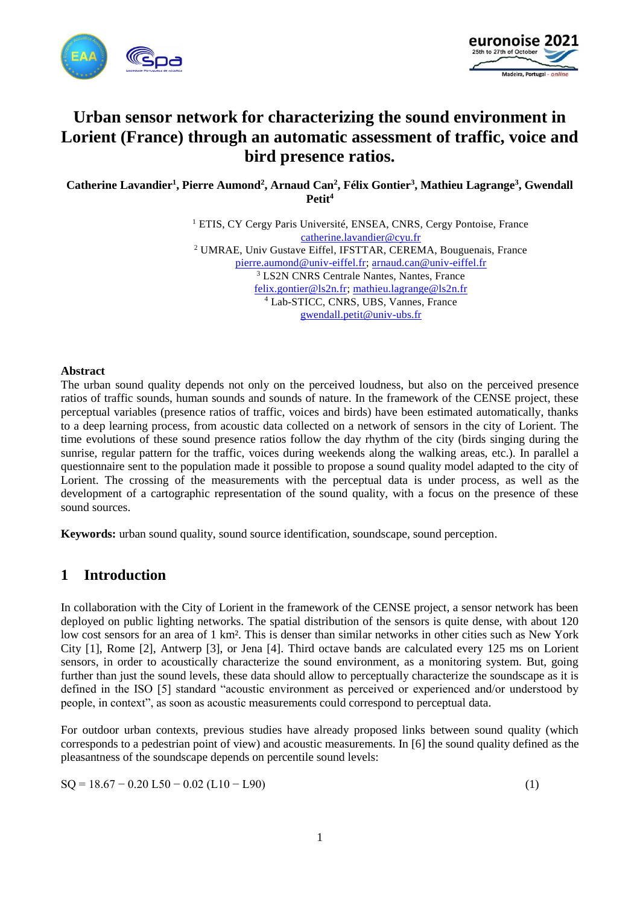



# **Urban sensor network for characterizing the sound environment in Lorient (France) through an automatic assessment of traffic, voice and bird presence ratios.**

**Catherine Lavandier<sup>1</sup> , Pierre Aumond<sup>2</sup> , Arnaud Can<sup>2</sup> , Félix Gontier<sup>3</sup> , Mathieu Lagrange<sup>3</sup> , Gwendall Petit<sup>4</sup>**

> <sup>1</sup> ETIS, CY Cergy Paris Université, ENSEA, CNRS, Cergy Pontoise, France [catherine.lavandier@cyu.fr](mailto:catherine.lavandier@cyu.fr) <sup>2</sup> UMRAE, Univ Gustave Eiffel, IFSTTAR, CEREMA, Bouguenais, France [pierre.aumond@univ-eiffel.fr;](mailto:pierre.aumond@univ-eiffel.fr) [arnaud.can@univ-eiffel.fr](mailto:arnaud.can@univ-eiffel.fr) <sup>3</sup> LS2N CNRS Centrale Nantes, Nantes, France [felix.gontier@ls2n.fr;](mailto:felix.gontier@ls2n.fr) [mathieu.lagrange@ls2n.fr](mailto:mathieu.lagrange@ls2n.fr) <sup>4</sup> Lab-STICC, CNRS, UBS, Vannes, France [gwendall.petit@univ-ubs.fr](mailto:gwendall.petit@univ-ubs.fr)

#### **Abstract**

The urban sound quality depends not only on the perceived loudness, but also on the perceived presence ratios of traffic sounds, human sounds and sounds of nature. In the framework of the CENSE project, these perceptual variables (presence ratios of traffic, voices and birds) have been estimated automatically, thanks to a deep learning process, from acoustic data collected on a network of sensors in the city of Lorient. The time evolutions of these sound presence ratios follow the day rhythm of the city (birds singing during the sunrise, regular pattern for the traffic, voices during weekends along the walking areas, etc.). In parallel a questionnaire sent to the population made it possible to propose a sound quality model adapted to the city of Lorient. The crossing of the measurements with the perceptual data is under process, as well as the development of a cartographic representation of the sound quality, with a focus on the presence of these sound sources.

**Keywords:** urban sound quality, sound source identification, soundscape, sound perception.

### **1 Introduction**

In collaboration with the City of Lorient in the framework of the CENSE project, a sensor network has been deployed on public lighting networks. The spatial distribution of the sensors is quite dense, with about 120 low cost sensors for an area of 1 km². This is denser than similar networks in other cities such as New York City [1], Rome [2], Antwerp [3], or Jena [4]. Third octave bands are calculated every 125 ms on Lorient sensors, in order to acoustically characterize the sound environment, as a monitoring system. But, going further than just the sound levels, these data should allow to perceptually characterize the soundscape as it is defined in the ISO [5] standard "acoustic environment as perceived or experienced and/or understood by people, in context", as soon as acoustic measurements could correspond to perceptual data.

For outdoor urban contexts, previous studies have already proposed links between sound quality (which corresponds to a pedestrian point of view) and acoustic measurements. In [6] the sound quality defined as the pleasantness of the soundscape depends on percentile sound levels:

$$
SQ = 18.67 - 0.20 L50 - 0.02 (L10 - L90)
$$
 (1)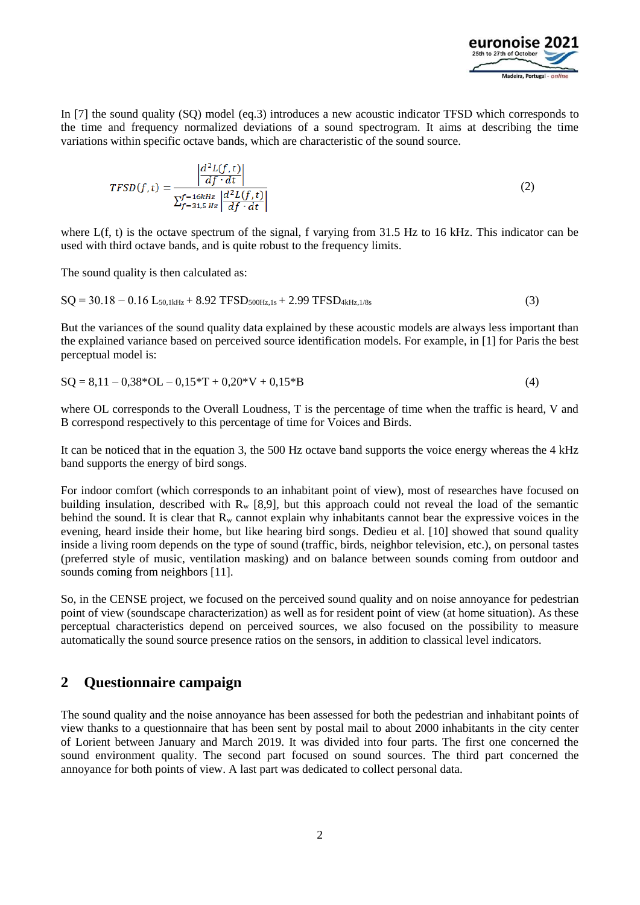

In [7] the sound quality (SQ) model (eq.3) introduces a new acoustic indicator TFSD which corresponds to the time and frequency normalized deviations of a sound spectrogram. It aims at describing the time variations within specific octave bands, which are characteristic of the sound source.

$$
TFSD(f,t) = \frac{\left|\frac{d^2L(f,t)}{df \cdot dt}\right|}{\sum_{f=31,5 \; Hz}^{f=16kHz} \left|\frac{d^2L(f,t)}{df \cdot dt}\right|}
$$
(2)

where  $L(f, t)$  is the octave spectrum of the signal, f varying from 31.5 Hz to 16 kHz. This indicator can be used with third octave bands, and is quite robust to the frequency limits.

The sound quality is then calculated as:

$$
SQ = 30.18 - 0.16 L_{50,1kHz} + 8.92 TFSD_{500Hz,1s} + 2.99 TFSD_{4kHz,1/8s}
$$
\n(3)

But the variances of the sound quality data explained by these acoustic models are always less important than the explained variance based on perceived source identification models. For example, in [1] for Paris the best perceptual model is:

$$
SQ = 8,11 - 0,38 \times 0L - 0,15 \times T + 0,20 \times V + 0,15 \times B \tag{4}
$$

where OL corresponds to the Overall Loudness, T is the percentage of time when the traffic is heard, V and B correspond respectively to this percentage of time for Voices and Birds.

It can be noticed that in the equation 3, the 500 Hz octave band supports the voice energy whereas the 4 kHz band supports the energy of bird songs.

For indoor comfort (which corresponds to an inhabitant point of view), most of researches have focused on building insulation, described with  $R_w$  [8,9], but this approach could not reveal the load of the semantic behind the sound. It is clear that  $R_w$  cannot explain why inhabitants cannot bear the expressive voices in the evening, heard inside their home, but like hearing bird songs. Dedieu et al. [10] showed that sound quality inside a living room depends on the type of sound (traffic, birds, neighbor television, etc.), on personal tastes (preferred style of music, ventilation masking) and on balance between sounds coming from outdoor and sounds coming from neighbors [11].

So, in the CENSE project, we focused on the perceived sound quality and on noise annoyance for pedestrian point of view (soundscape characterization) as well as for resident point of view (at home situation). As these perceptual characteristics depend on perceived sources, we also focused on the possibility to measure automatically the sound source presence ratios on the sensors, in addition to classical level indicators.

### **2 Questionnaire campaign**

The sound quality and the noise annoyance has been assessed for both the pedestrian and inhabitant points of view thanks to a questionnaire that has been sent by postal mail to about 2000 inhabitants in the city center of Lorient between January and March 2019. It was divided into four parts. The first one concerned the sound environment quality. The second part focused on sound sources. The third part concerned the annoyance for both points of view. A last part was dedicated to collect personal data.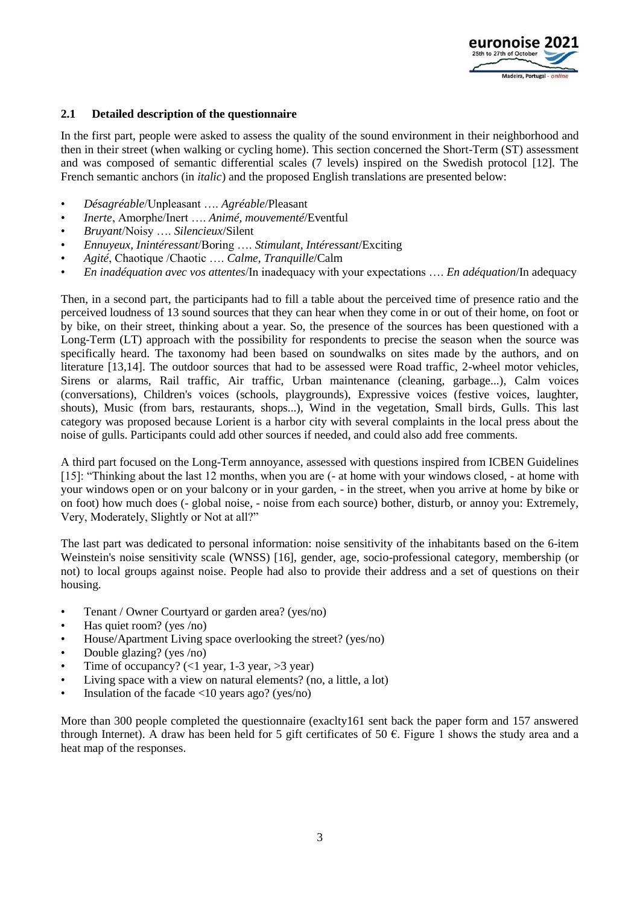

#### **2.1 Detailed description of the questionnaire**

In the first part, people were asked to assess the quality of the sound environment in their neighborhood and then in their street (when walking or cycling home). This section concerned the Short-Term (ST) assessment and was composed of semantic differential scales (7 levels) inspired on the Swedish protocol [12]. The French semantic anchors (in *italic*) and the proposed English translations are presented below:

- *Désagréable*/Unpleasant …. *Agréable*/Pleasant
- *Inerte*, Amorphe/Inert …. *Animé, mouvementé*/Eventful
- *Bruyant*/Noisy …. *Silencieux*/Silent
- *Ennuyeux, Inintéressant*/Boring …. *Stimulant, Intéressant*/Exciting
- *Agité*, Chaotique /Chaotic …. *Calme, Tranquille*/Calm
- *En inadéquation avec vos attentes*/In inadequacy with your expectations …. *En adéquation*/In adequacy

Then, in a second part, the participants had to fill a table about the perceived time of presence ratio and the perceived loudness of 13 sound sources that they can hear when they come in or out of their home, on foot or by bike, on their street, thinking about a year. So, the presence of the sources has been questioned with a Long-Term (LT) approach with the possibility for respondents to precise the season when the source was specifically heard. The taxonomy had been based on soundwalks on sites made by the authors, and on literature [13,14]. The outdoor sources that had to be assessed were Road traffic, 2-wheel motor vehicles, Sirens or alarms, Rail traffic, Air traffic, Urban maintenance (cleaning, garbage...), Calm voices (conversations), Children's voices (schools, playgrounds), Expressive voices (festive voices, laughter, shouts), Music (from bars, restaurants, shops...), Wind in the vegetation, Small birds, Gulls. This last category was proposed because Lorient is a harbor city with several complaints in the local press about the noise of gulls. Participants could add other sources if needed, and could also add free comments.

A third part focused on the Long-Term annoyance, assessed with questions inspired from ICBEN Guidelines [15]: "Thinking about the last 12 months, when you are (- at home with your windows closed, - at home with your windows open or on your balcony or in your garden, - in the street, when you arrive at home by bike or on foot) how much does (- global noise, - noise from each source) bother, disturb, or annoy you: Extremely, Very, Moderately, Slightly or Not at all?"

The last part was dedicated to personal information: noise sensitivity of the inhabitants based on the 6-item Weinstein's noise sensitivity scale (WNSS) [16], gender, age, socio-professional category, membership (or not) to local groups against noise. People had also to provide their address and a set of questions on their housing.

- Tenant / Owner Courtyard or garden area? (yes/no)
- Has quiet room? (yes /no)
- House/Apartment Living space overlooking the street? (yes/no)
- Double glazing? (yes /no)
- Time of occupancy?  $(<1$  year,  $1-3$  year,  $>3$  year)
- Living space with a view on natural elements? (no, a little, a lot)
- Insulation of the facade  $\langle 10 \rangle$  years ago? (yes/no)

More than 300 people completed the questionnaire (exaclty161 sent back the paper form and 157 answered through Internet). A draw has been held for 5 gift certificates of 50  $\epsilon$ . Figure 1 shows the study area and a heat map of the responses.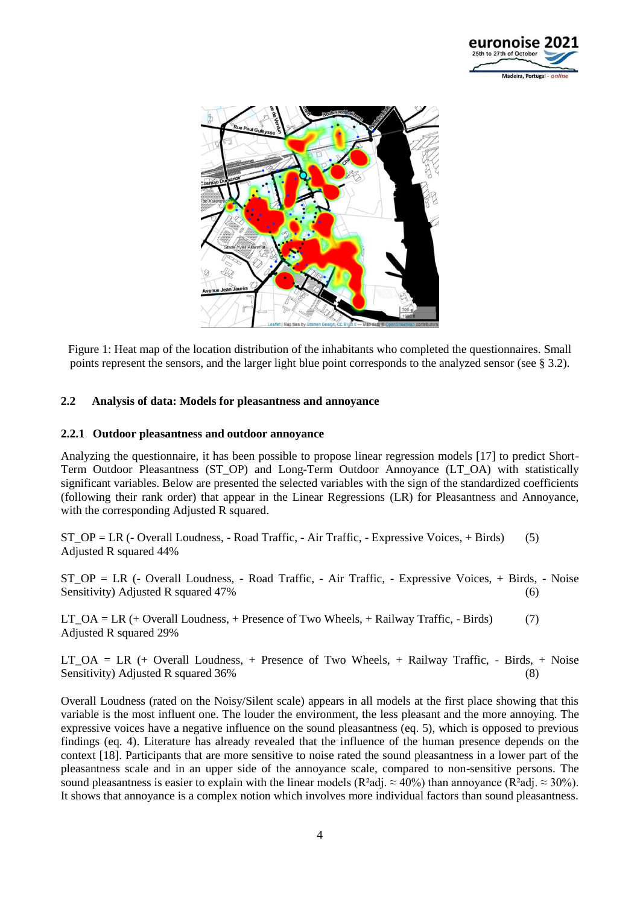



Figure 1: Heat map of the location distribution of the inhabitants who completed the questionnaires. Small points represent the sensors, and the larger light blue point corresponds to the analyzed sensor (see § 3.2).

#### **2.2 Analysis of data: Models for pleasantness and annoyance**

#### **2.2.1 Outdoor pleasantness and outdoor annoyance**

Analyzing the questionnaire, it has been possible to propose linear regression models [17] to predict Short-Term Outdoor Pleasantness (ST\_OP) and Long-Term Outdoor Annoyance (LT\_OA) with statistically significant variables. Below are presented the selected variables with the sign of the standardized coefficients (following their rank order) that appear in the Linear Regressions (LR) for Pleasantness and Annoyance, with the corresponding Adjusted R squared.

ST  $OP = LR$  (- Overall Loudness, - Road Traffic, - Air Traffic, - Expressive Voices, + Birds) (5) Adjusted R squared 44%

ST\_OP = LR (- Overall Loudness, - Road Traffic, - Air Traffic, - Expressive Voices, + Birds, - Noise Sensitivity) Adjusted R squared 47% (6)

LT\_OA = LR (+ Overall Loudness, + Presence of Two Wheels, + Railway Traffic, - Birds)  $(7)$ Adjusted R squared 29%

 $LT_OA = LR$  (+ Overall Loudness, + Presence of Two Wheels, + Railway Traffic, - Birds, + Noise Sensitivity) Adjusted R squared 36% (8) (8)

Overall Loudness (rated on the Noisy/Silent scale) appears in all models at the first place showing that this variable is the most influent one. The louder the environment, the less pleasant and the more annoying. The expressive voices have a negative influence on the sound pleasantness (eq. 5), which is opposed to previous findings (eq. 4). Literature has already revealed that the influence of the human presence depends on the context [18]. Participants that are more sensitive to noise rated the sound pleasantness in a lower part of the pleasantness scale and in an upper side of the annoyance scale, compared to non-sensitive persons. The sound pleasantness is easier to explain with the linear models (R<sup>2</sup>adj.  $\approx 40\%$ ) than annoyance (R<sup>2</sup>adj.  $\approx 30\%$ ). It shows that annoyance is a complex notion which involves more individual factors than sound pleasantness.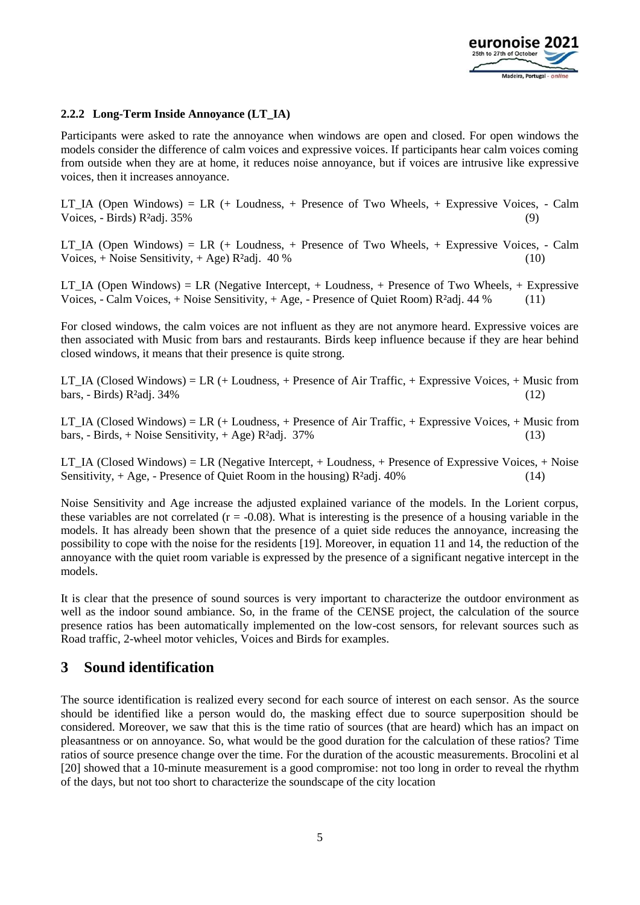

### **2.2.2 Long-Term Inside Annoyance (LT\_IA)**

Participants were asked to rate the annoyance when windows are open and closed. For open windows the models consider the difference of calm voices and expressive voices. If participants hear calm voices coming from outside when they are at home, it reduces noise annoyance, but if voices are intrusive like expressive voices, then it increases annoyance.

LT\_IA (Open Windows) = LR (+ Loudness, + Presence of Two Wheels, + Expressive Voices, - Calm Voices, - Birds) R<sup>2</sup>adj. 35% (9)

LT\_IA (Open Windows) = LR (+ Loudness, + Presence of Two Wheels, + Expressive Voices, - Calm Voices,  $+$  Noise Sensitivity,  $+$  Age) R<sup>2</sup>adj. 40 % (10)

LT\_IA (Open Windows) = LR (Negative Intercept, + Loudness, + Presence of Two Wheels, + Expressive Voices, - Calm Voices, + Noise Sensitivity, + Age, - Presence of Quiet Room)  $R^2$ adj. 44 % (11)

For closed windows, the calm voices are not influent as they are not anymore heard. Expressive voices are then associated with Music from bars and restaurants. Birds keep influence because if they are hear behind closed windows, it means that their presence is quite strong.

LT\_IA (Closed Windows) = LR (+ Loudness, + Presence of Air Traffic, + Expressive Voices, + Music from bars,  $\text{-}$  Birds) R<sup>2</sup>adj. 34% (12)

LT IA (Closed Windows) = LR (+ Loudness, + Presence of Air Traffic, + Expressive Voices, + Music from bars,  $-$  Birds,  $+$  Noise Sensitivity,  $+$  Age) R<sup>2</sup>adj. 37% (13)

LT\_IA (Closed Windows) = LR (Negative Intercept, + Loudness, + Presence of Expressive Voices, + Noise Sensitivity,  $+$  Age,  $-$  Presence of Quiet Room in the housing) R<sup>2</sup>adj. 40% (14)

Noise Sensitivity and Age increase the adjusted explained variance of the models. In the Lorient corpus, these variables are not correlated  $(r = -0.08)$ . What is interesting is the presence of a housing variable in the models. It has already been shown that the presence of a quiet side reduces the annoyance, increasing the possibility to cope with the noise for the residents [19]. Moreover, in equation 11 and 14, the reduction of the annoyance with the quiet room variable is expressed by the presence of a significant negative intercept in the models.

It is clear that the presence of sound sources is very important to characterize the outdoor environment as well as the indoor sound ambiance. So, in the frame of the CENSE project, the calculation of the source presence ratios has been automatically implemented on the low-cost sensors, for relevant sources such as Road traffic, 2-wheel motor vehicles, Voices and Birds for examples.

### **3 Sound identification**

The source identification is realized every second for each source of interest on each sensor. As the source should be identified like a person would do, the masking effect due to source superposition should be considered. Moreover, we saw that this is the time ratio of sources (that are heard) which has an impact on pleasantness or on annoyance. So, what would be the good duration for the calculation of these ratios? Time ratios of source presence change over the time. For the duration of the acoustic measurements. Brocolini et al [20] showed that a 10-minute measurement is a good compromise: not too long in order to reveal the rhythm of the days, but not too short to characterize the soundscape of the city location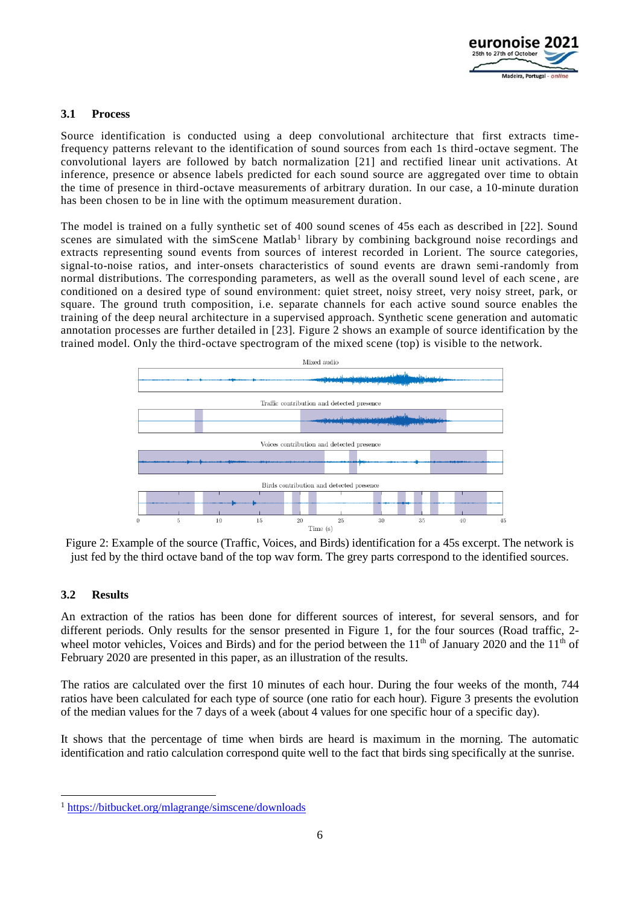

### **3.1 Process**

Source identification is conducted using a deep convolutional architecture that first extracts timefrequency patterns relevant to the identification of sound sources from each 1s third-octave segment. The convolutional layers are followed by batch normalization [21] and rectified linear unit activations. At inference, presence or absence labels predicted for each sound source are aggregated over time to obtain the time of presence in third-octave measurements of arbitrary duration. In our case, a 10-minute duration has been chosen to be in line with the optimum measurement duration.

The model is trained on a fully synthetic set of 400 sound scenes of 45s each as described in [22]. Sound scenes are simulated with the simScene Matlab<sup>1</sup> library by combining background noise recordings and extracts representing sound events from sources of interest recorded in Lorient. The source categories, signal-to-noise ratios, and inter-onsets characteristics of sound events are drawn semi-randomly from normal distributions. The corresponding parameters, as well as the overall sound level of each scene , are conditioned on a desired type of sound environment: quiet street, noisy street, very noisy street, park, or square. The ground truth composition, i.e. separate channels for each active sound source enables the training of the deep neural architecture in a supervised approach. Synthetic scene generation and automatic annotation processes are further detailed in [23]. Figure 2 shows an example of source identification by the trained model. Only the third-octave spectrogram of the mixed scene (top) is visible to the network.



Figure 2: Example of the source (Traffic, Voices, and Birds) identification for a 45s excerpt. The network is just fed by the third octave band of the top wav form. The grey parts correspond to the identified sources.

#### **3.2 Results**

-

An extraction of the ratios has been done for different sources of interest, for several sensors, and for different periods. Only results for the sensor presented in Figure 1, for the four sources (Road traffic, 2 wheel motor vehicles, Voices and Birds) and for the period between the  $11<sup>th</sup>$  of January 2020 and the  $11<sup>th</sup>$  of February 2020 are presented in this paper, as an illustration of the results.

The ratios are calculated over the first 10 minutes of each hour. During the four weeks of the month, 744 ratios have been calculated for each type of source (one ratio for each hour). Figure 3 presents the evolution of the median values for the 7 days of a week (about 4 values for one specific hour of a specific day).

It shows that the percentage of time when birds are heard is maximum in the morning. The automatic identification and ratio calculation correspond quite well to the fact that birds sing specifically at the sunrise.

<sup>1</sup> <https://bitbucket.org/mlagrange/simscene/downloads>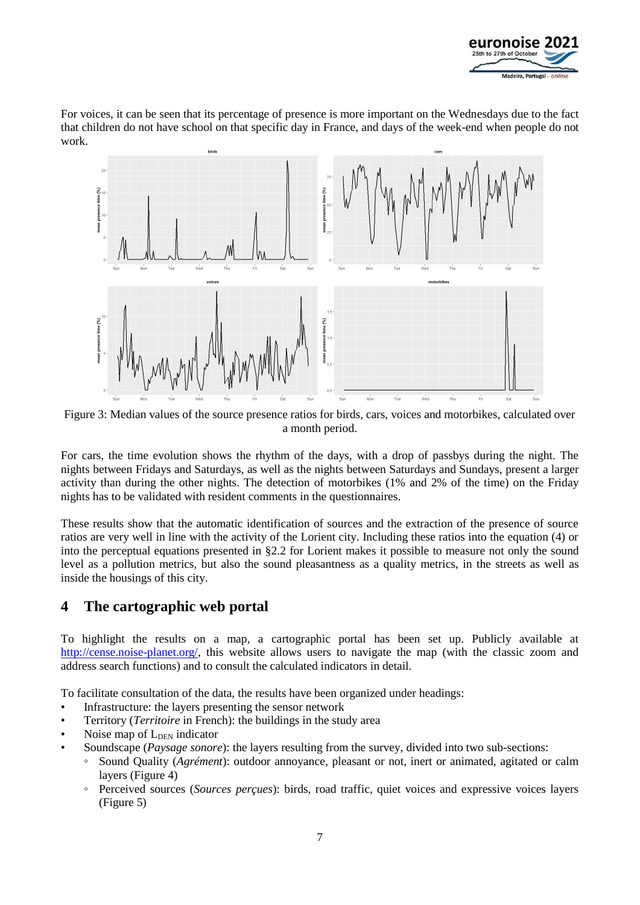

For voices, it can be seen that its percentage of presence is more important on the Wednesdays due to the fact that children do not have school on that specific day in France, and days of the week-end when people do not work.



Figure 3: Median values of the source presence ratios for birds, cars, voices and motorbikes, calculated over a month period.

For cars, the time evolution shows the rhythm of the days, with a drop of passbys during the night. The nights between Fridays and Saturdays, as well as the nights between Saturdays and Sundays, present a larger activity than during the other nights. The detection of motorbikes (1% and 2% of the time) on the Friday nights has to be validated with resident comments in the questionnaires.

These results show that the automatic identification of sources and the extraction of the presence of source ratios are very well in line with the activity of the Lorient city. Including these ratios into the equation (4) or into the perceptual equations presented in §2.2 for Lorient makes it possible to measure not only the sound level as a pollution metrics, but also the sound pleasantness as a quality metrics, in the streets as well as inside the housings of this city.

### **4 The cartographic web portal**

To highlight the results on a map, a cartographic portal has been set up. Publicly available at [http://cense.noise-planet.org/,](http://cense.noise-planet.org/) this website allows users to navigate the map (with the classic zoom and address search functions) and to consult the calculated indicators in detail.

To facilitate consultation of the data, the results have been organized under headings:

- Infrastructure: the layers presenting the sensor network
- Territory (*Territoire* in French): the buildings in the study area
- Noise map of L<sub>DEN</sub> indicator
- Soundscape (*Paysage sonore*): the layers resulting from the survey, divided into two sub-sections:
	- Sound Quality (*Agrément*): outdoor annoyance, pleasant or not, inert or animated, agitated or calm layers (Figure 4)
	- Perceived sources (*Sources perçues*): birds, road traffic, quiet voices and expressive voices layers (Figure 5)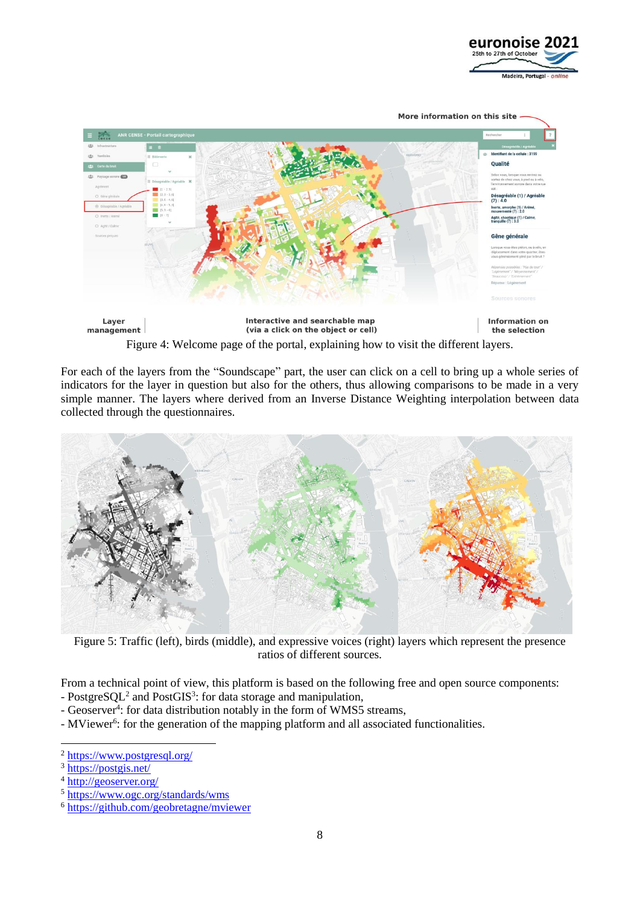



For each of the layers from the "Soundscape" part, the user can click on a cell to bring up a whole series of

indicators for the layer in question but also for the others, thus allowing comparisons to be made in a very simple manner. The layers where derived from an Inverse Distance Weighting interpolation between data collected through the questionnaires.



Figure 5: Traffic (left), birds (middle), and expressive voices (right) layers which represent the presence ratios of different sources.

From a technical point of view, this platform is based on the following free and open source components:

- PostgreSQL<sup>2</sup> and PostGIS<sup>3</sup>: for data storage and manipulation,
- Geoserver<sup>4</sup>: for data distribution notably in the form of WMS5 streams,
- MViewer<sup>6</sup>: for the generation of the mapping platform and all associated functionalities.

1

<sup>2</sup> <https://www.postgresql.org/>

<sup>3</sup> <https://postgis.net/>

<sup>4</sup> <http://geoserver.org/>

<sup>5</sup> <https://www.ogc.org/standards/wms>

<sup>6</sup> <https://github.com/geobretagne/mviewer>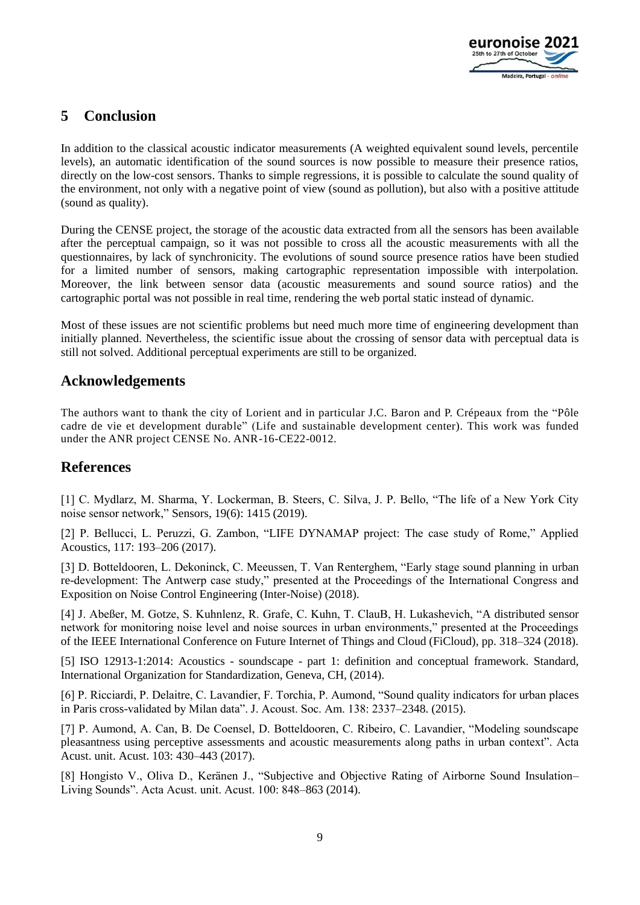

## **5 Conclusion**

In addition to the classical acoustic indicator measurements (A weighted equivalent sound levels, percentile levels), an automatic identification of the sound sources is now possible to measure their presence ratios, directly on the low-cost sensors. Thanks to simple regressions, it is possible to calculate the sound quality of the environment, not only with a negative point of view (sound as pollution), but also with a positive attitude (sound as quality).

During the CENSE project, the storage of the acoustic data extracted from all the sensors has been available after the perceptual campaign, so it was not possible to cross all the acoustic measurements with all the questionnaires, by lack of synchronicity. The evolutions of sound source presence ratios have been studied for a limited number of sensors, making cartographic representation impossible with interpolation. Moreover, the link between sensor data (acoustic measurements and sound source ratios) and the cartographic portal was not possible in real time, rendering the web portal static instead of dynamic.

Most of these issues are not scientific problems but need much more time of engineering development than initially planned. Nevertheless, the scientific issue about the crossing of sensor data with perceptual data is still not solved. Additional perceptual experiments are still to be organized.

### **Acknowledgements**

The authors want to thank the city of Lorient and in particular J.C. Baron and P. Crépeaux from the "Pôle cadre de vie et development durable" (Life and sustainable development center). This work was funded under the ANR project CENSE No. ANR-16-CE22-0012.

### **References**

[1] C. Mydlarz, M. Sharma, Y. Lockerman, B. Steers, C. Silva, J. P. Bello, "The life of a New York City noise sensor network," Sensors, 19(6): 1415 (2019).

[2] P. Bellucci, L. Peruzzi, G. Zambon, "LIFE DYNAMAP project: The case study of Rome," Applied Acoustics, 117: 193–206 (2017).

[3] D. Botteldooren, L. Dekoninck, C. Meeussen, T. Van Renterghem, "Early stage sound planning in urban re-development: The Antwerp case study," presented at the Proceedings of the International Congress and Exposition on Noise Control Engineering (Inter-Noise) (2018).

[4] J. Abeßer, M. Gotze, S. Kuhnlenz, R. Grafe, C. Kuhn, T. ClauB, H. Lukashevich, "A distributed sensor network for monitoring noise level and noise sources in urban environments," presented at the Proceedings of the IEEE International Conference on Future Internet of Things and Cloud (FiCloud), pp. 318–324 (2018).

[5] ISO 12913-1:2014: Acoustics - soundscape - part 1: definition and conceptual framework. Standard, International Organization for Standardization, Geneva, CH, (2014).

[6] P. Ricciardi, P. Delaitre, C. Lavandier, F. Torchia, P. Aumond, "Sound quality indicators for urban places in Paris cross-validated by Milan data". J. Acoust. Soc. Am. 138: 2337–2348. (2015).

[7] P. Aumond, A. Can, B. De Coensel, D. Botteldooren, C. Ribeiro, C. Lavandier, "Modeling soundscape pleasantness using perceptive assessments and acoustic measurements along paths in urban context". Acta Acust. unit. Acust. 103: 430–443 (2017).

[8] Hongisto V., Oliva D., Keränen J., "Subjective and Objective Rating of Airborne Sound Insulation– Living Sounds". Acta Acust. unit. Acust. 100: 848–863 (2014).